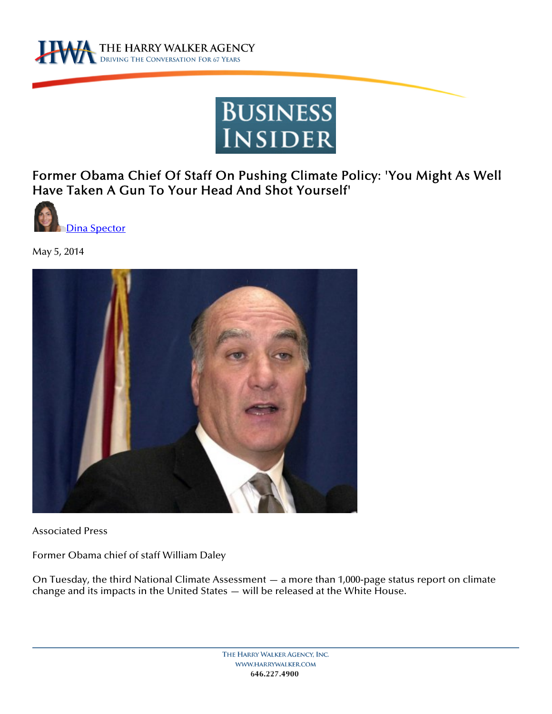



Former Obama Chief Of Staff On Pushing Climate Policy: 'You Might As Well Have Taken A Gun To Your Head And Shot Yourself'



May 5, 2014



Associated Press

Former Obama chief of staff William Daley

On Tuesday, the third National Climate Assessment — a more than 1,000-page status report on climate change and its impacts in the United States — will be released at the White House.